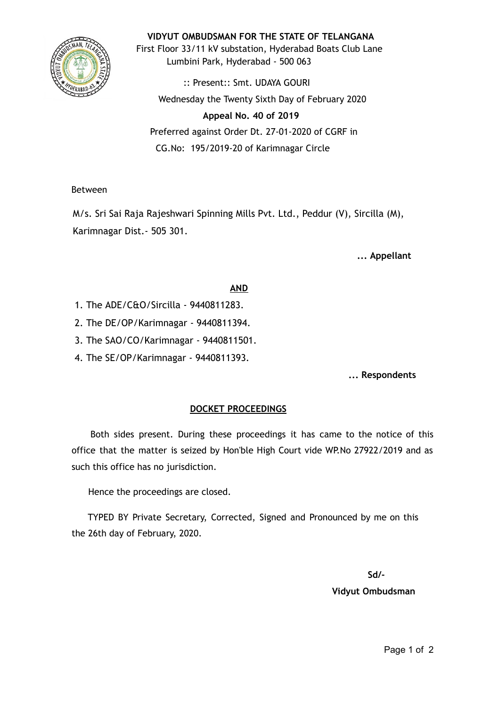

#### **VIDYUT OMBUDSMAN FOR THE STATE OF TELANGANA**

First Floor 33/11 kV substation, Hyderabad Boats Club Lane Lumbini Park, Hyderabad - 500 063

:: Present:: Smt. UDAYA GOURI Wednesday the Twenty Sixth Day of February 2020

# **Appeal No. 40 of 2019**  Preferred against Order Dt. 27-01-2020 of CGRF in CG.No: 195/2019-20 of Karimnagar Circle

### Between

M/s. Sri Sai Raja Rajeshwari Spinning Mills Pvt. Ltd., Peddur (V), Sircilla (M), Karimnagar Dist.- 505 301.

## **... Appellant**

### **AND**

- 1. The ADE/C&O/Sircilla 9440811283.
- 2. The DE/OP/Karimnagar 9440811394.
- 3. The SAO/CO/Karimnagar 9440811501.
- 4. The SE/OP/Karimnagar 9440811393.

**... Respondents**

### **DOCKET PROCEEDINGS**

Both sides present. During these proceedings it has came to the notice of this office that the matter is seized by Hon'ble High Court vide WP.No 27922/2019 and as such this office has no jurisdiction.

Hence the proceedings are closed.

TYPED BY Private Secretary, Corrected, Signed and Pronounced by me on this the 26th day of February, 2020.

**Sd/-**

#### **Vidyut Ombudsman**